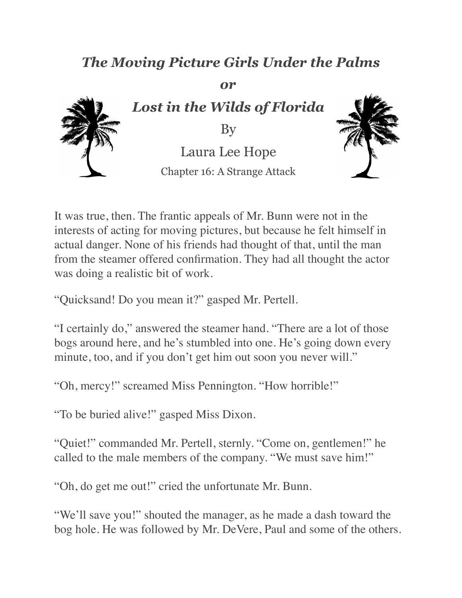## *The Moving Picture Girls Under the Palms*

*or*





It was true, then. The frantic appeals of Mr. Bunn were not in the interests of acting for moving pictures, but because he felt himself in actual danger. None of his friends had thought of that, until the man from the steamer offered confirmation. They had all thought the actor was doing a realistic bit of work.

"Quicksand! Do you mean it?" gasped Mr. Pertell.

"I certainly do," answered the steamer hand. "There are a lot of those bogs around here, and he's stumbled into one. He's going down every minute, too, and if you don't get him out soon you never will."

"Oh, mercy!" screamed Miss Pennington. "How horrible!"

"To be buried alive!" gasped Miss Dixon.

"Quiet!" commanded Mr. Pertell, sternly. "Come on, gentlemen!" he called to the male members of the company. "We must save him!"

"Oh, do get me out!" cried the unfortunate Mr. Bunn.

"We'll save you!" shouted the manager, as he made a dash toward the bog hole. He was followed by Mr. DeVere, Paul and some of the others.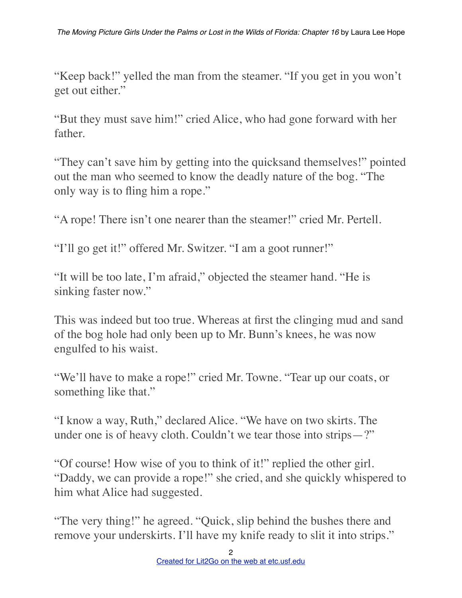"Keep back!" yelled the man from the steamer. "If you get in you won't get out either."

"But they must save him!" cried Alice, who had gone forward with her father.

"They can't save him by getting into the quicksand themselves!" pointed out the man who seemed to know the deadly nature of the bog. "The only way is to fling him a rope."

"A rope! There isn't one nearer than the steamer!" cried Mr. Pertell.

"I'll go get it!" offered Mr. Switzer. "I am a goot runner!"

"It will be too late, I'm afraid," objected the steamer hand. "He is sinking faster now."

This was indeed but too true. Whereas at first the clinging mud and sand of the bog hole had only been up to Mr. Bunn's knees, he was now engulfed to his waist.

"We'll have to make a rope!" cried Mr. Towne. "Tear up our coats, or something like that."

"I know a way, Ruth," declared Alice. "We have on two skirts. The under one is of heavy cloth. Couldn't we tear those into strips—?"

"Of course! How wise of you to think of it!" replied the other girl. "Daddy, we can provide a rope!" she cried, and she quickly whispered to him what Alice had suggested.

"The very thing!" he agreed. "Quick, slip behind the bushes there and remove your underskirts. I'll have my knife ready to slit it into strips."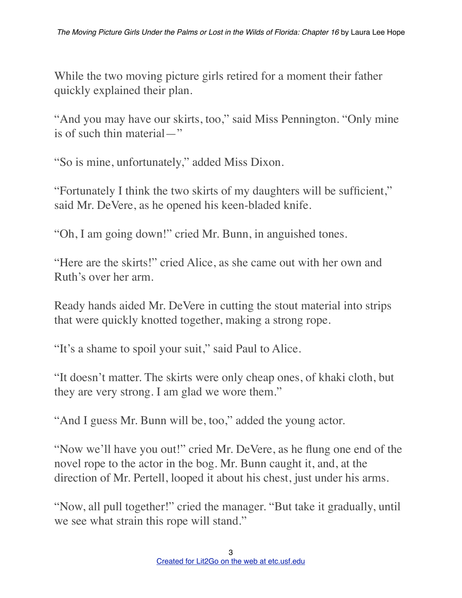While the two moving picture girls retired for a moment their father quickly explained their plan.

"And you may have our skirts, too," said Miss Pennington. "Only mine is of such thin material—"

"So is mine, unfortunately," added Miss Dixon.

"Fortunately I think the two skirts of my daughters will be sufficient," said Mr. DeVere, as he opened his keen-bladed knife.

"Oh, I am going down!" cried Mr. Bunn, in anguished tones.

"Here are the skirts!" cried Alice, as she came out with her own and Ruth's over her arm.

Ready hands aided Mr. DeVere in cutting the stout material into strips that were quickly knotted together, making a strong rope.

"It's a shame to spoil your suit," said Paul to Alice.

"It doesn't matter. The skirts were only cheap ones, of khaki cloth, but they are very strong. I am glad we wore them."

"And I guess Mr. Bunn will be, too," added the young actor.

"Now we'll have you out!" cried Mr. DeVere, as he flung one end of the novel rope to the actor in the bog. Mr. Bunn caught it, and, at the direction of Mr. Pertell, looped it about his chest, just under his arms.

"Now, all pull together!" cried the manager. "But take it gradually, until we see what strain this rope will stand."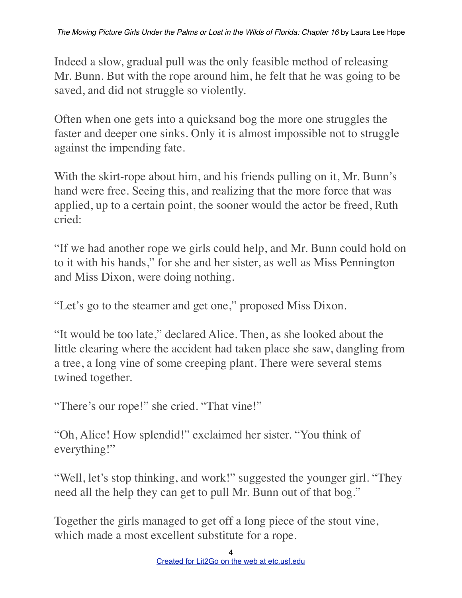Indeed a slow, gradual pull was the only feasible method of releasing Mr. Bunn. But with the rope around him, he felt that he was going to be saved, and did not struggle so violently.

Often when one gets into a quicksand bog the more one struggles the faster and deeper one sinks. Only it is almost impossible not to struggle against the impending fate.

With the skirt-rope about him, and his friends pulling on it, Mr. Bunn's hand were free. Seeing this, and realizing that the more force that was applied, up to a certain point, the sooner would the actor be freed, Ruth cried:

"If we had another rope we girls could help, and Mr. Bunn could hold on to it with his hands," for she and her sister, as well as Miss Pennington and Miss Dixon, were doing nothing.

"Let's go to the steamer and get one," proposed Miss Dixon.

"It would be too late," declared Alice. Then, as she looked about the little clearing where the accident had taken place she saw, dangling from a tree, a long vine of some creeping plant. There were several stems twined together.

"There's our rope!" she cried. "That vine!"

"Oh, Alice! How splendid!" exclaimed her sister. "You think of everything!"

"Well, let's stop thinking, and work!" suggested the younger girl. "They need all the help they can get to pull Mr. Bunn out of that bog."

Together the girls managed to get off a long piece of the stout vine, which made a most excellent substitute for a rope.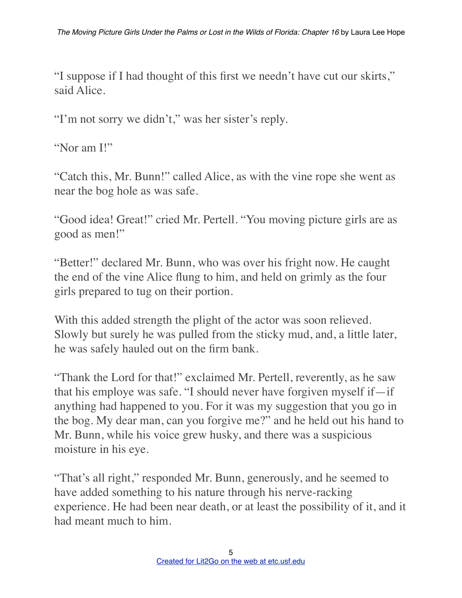"I suppose if I had thought of this first we needn't have cut our skirts," said Alice.

"I'm not sorry we didn't," was her sister's reply.

"Nor am I!"

"Catch this, Mr. Bunn!" called Alice, as with the vine rope she went as near the bog hole as was safe.

"Good idea! Great!" cried Mr. Pertell. "You moving picture girls are as good as men!"

"Better!" declared Mr. Bunn, who was over his fright now. He caught the end of the vine Alice flung to him, and held on grimly as the four girls prepared to tug on their portion.

With this added strength the plight of the actor was soon relieved. Slowly but surely he was pulled from the sticky mud, and, a little later, he was safely hauled out on the firm bank.

"Thank the Lord for that!" exclaimed Mr. Pertell, reverently, as he saw that his employe was safe. "I should never have forgiven myself if—if anything had happened to you. For it was my suggestion that you go in the bog. My dear man, can you forgive me?" and he held out his hand to Mr. Bunn, while his voice grew husky, and there was a suspicious moisture in his eye.

"That's all right," responded Mr. Bunn, generously, and he seemed to have added something to his nature through his nerve-racking experience. He had been near death, or at least the possibility of it, and it had meant much to him.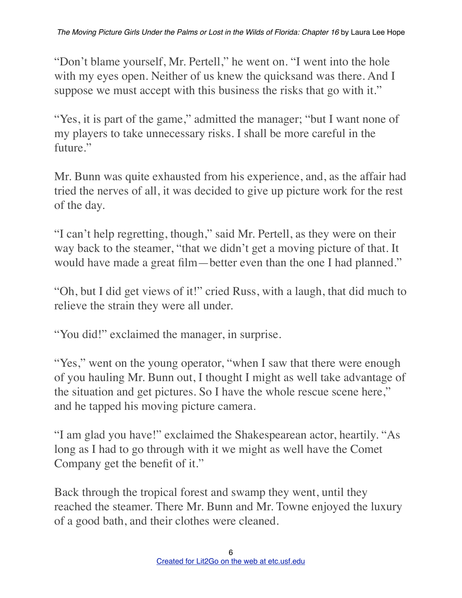"Don't blame yourself, Mr. Pertell," he went on. "I went into the hole with my eyes open. Neither of us knew the quicksand was there. And I suppose we must accept with this business the risks that go with it."

"Yes, it is part of the game," admitted the manager; "but I want none of my players to take unnecessary risks. I shall be more careful in the future."

Mr. Bunn was quite exhausted from his experience, and, as the affair had tried the nerves of all, it was decided to give up picture work for the rest of the day.

"I can't help regretting, though," said Mr. Pertell, as they were on their way back to the steamer, "that we didn't get a moving picture of that. It would have made a great film—better even than the one I had planned."

"Oh, but I did get views of it!" cried Russ, with a laugh, that did much to relieve the strain they were all under.

"You did!" exclaimed the manager, in surprise.

"Yes," went on the young operator, "when I saw that there were enough of you hauling Mr. Bunn out, I thought I might as well take advantage of the situation and get pictures. So I have the whole rescue scene here," and he tapped his moving picture camera.

"I am glad you have!" exclaimed the Shakespearean actor, heartily. "As long as I had to go through with it we might as well have the Comet Company get the benefit of it."

Back through the tropical forest and swamp they went, until they reached the steamer. There Mr. Bunn and Mr. Towne enjoyed the luxury of a good bath, and their clothes were cleaned.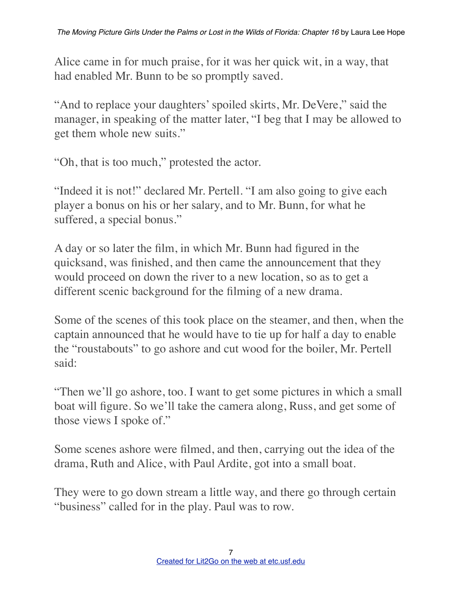Alice came in for much praise, for it was her quick wit, in a way, that had enabled Mr. Bunn to be so promptly saved.

"And to replace your daughters' spoiled skirts, Mr. DeVere," said the manager, in speaking of the matter later, "I beg that I may be allowed to get them whole new suits."

"Oh, that is too much," protested the actor.

"Indeed it is not!" declared Mr. Pertell. "I am also going to give each player a bonus on his or her salary, and to Mr. Bunn, for what he suffered, a special bonus."

A day or so later the film, in which Mr. Bunn had figured in the quicksand, was finished, and then came the announcement that they would proceed on down the river to a new location, so as to get a different scenic background for the filming of a new drama.

Some of the scenes of this took place on the steamer, and then, when the captain announced that he would have to tie up for half a day to enable the "roustabouts" to go ashore and cut wood for the boiler, Mr. Pertell said:

"Then we'll go ashore, too. I want to get some pictures in which a small boat will figure. So we'll take the camera along, Russ, and get some of those views I spoke of."

Some scenes ashore were filmed, and then, carrying out the idea of the drama, Ruth and Alice, with Paul Ardite, got into a small boat.

They were to go down stream a little way, and there go through certain "business" called for in the play. Paul was to row.